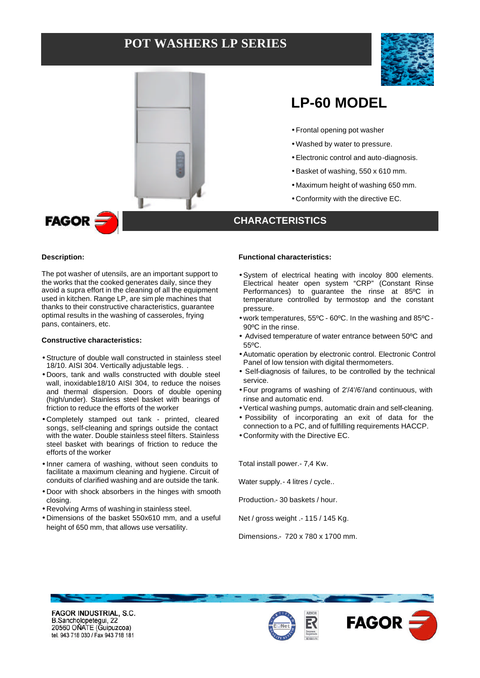## **POT WASHERS LP SERIES**





## **LP-60 MODEL**

- Frontal opening pot washer
- Washed by water to pressure.
- Electronic control and auto-diagnosis.
- Basket of washing, 550 x 610 mm.
- Maximum height of washing 650 mm.
- Conformity with the directive EC.

# **FAGOR**

#### **Description:**

֦

The pot washer of utensils, are an important support to the works that the cooked generates daily, since they avoid a supra effort in the cleaning of all the equipment used in kitchen. Range LP, are sim ple machines that thanks to their constructive characteristics, guarantee optimal results in the washing of casseroles, frying pans, containers, etc.

#### **Constructive characteristics:**

- Structure of double wall constructed in stainless steel 18/10. AISI 304. Vertically adjustable legs..
- Doors, tank and walls constructed with double steel wall, inoxidable18/10 AISI 304, to reduce the noises and thermal dispersion. Doors of double opening (high/under). Stainless steel basket with bearings of friction to reduce the efforts of the worker
- Completely stamped out tank printed, cleared songs, self-cleaning and springs outside the contact with the water. Double stainless steel filters. Stainless steel basket with bearings of friction to reduce the efforts of the worker
- Inner camera of washing, without seen conduits to facilitate a maximum cleaning and hygiene. Circuit of conduits of clarified washing and are outside the tank.
- Door with shock absorbers in the hinges with smooth closing.
- Revolving Arms of washing in stainless steel.
- Dimensions of the basket 550x610 mm, and a useful height of 650 mm, that allows use versatility.

#### **Functional characteristics:**

**CHARACTERISTICS**

- System of electrical heating with incoloy 800 elements. Electrical heater open system "CRP" (Constant Rinse Performances) to guarantee the rinse at 85ºC in temperature controlled by termostop and the constant pressure.
- work temperatures, 55ºC 60ºC. In the washing and 85ºC 90ºC in the rinse.
- Advised temperature of water entrance between 50ºC and 55ºC.
- Automatic operation by electronic control. Electronic Control Panel of low tension with digital thermometers.
- Self-diagnosis of failures, to be controlled by the technical service.
- Four programs of washing of 2'/4'/6'/and continuous, with rinse and automatic end.
- Vertical washing pumps, automatic drain and self-cleaning.
- Possibility of incorporating an exit of data for the connection to a PC, and of fulfilling requirements HACCP.
- Conformity with the Directive EC.

Total install power.- 7,4 Kw.

Water supply. - 4 litres / cycle..

Production.- 30 baskets / hour.

Net / gross weight .- 115 / 145 Kg.

Dimensions.- 720 x 780 x 1700 mm.